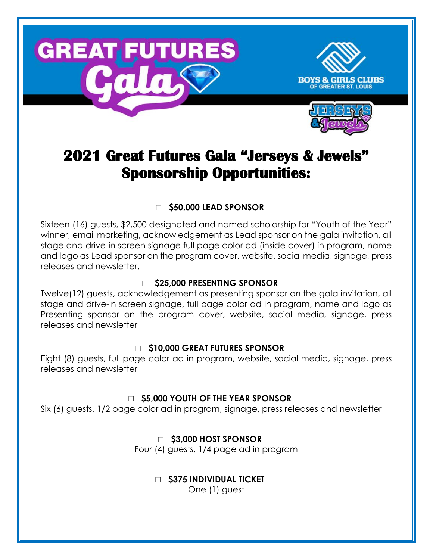





# **2021 Great Futures Gala "Jerseys & Jewels" Sponsorship Opportunities:**

## □ **\$50,000 LEAD SPONSOR**

Sixteen (16) guests, \$2,500 designated and named scholarship for "Youth of the Year" winner, email marketing, acknowledgement as Lead sponsor on the gala invitation, all stage and drive-in screen signage full page color ad (inside cover) in program, name and logo as Lead sponsor on the program cover, website, social media, signage, press releases and newsletter.

#### □ **\$25,000 PRESENTING SPONSOR**

Twelve(12) guests, acknowledgement as presenting sponsor on the gala invitation, all stage and drive-in screen signage, full page color ad in program, name and logo as Presenting sponsor on the program cover, website, social media, signage, press releases and newsletter

### □ **\$10,000 GREAT FUTURES SPONSOR**

Eight (8) guests, full page color ad in program, website, social media, signage, press releases and newsletter

### □ **\$5,000 YOUTH OF THE YEAR SPONSOR**

Six (6) guests, 1/2 page color ad in program, signage, press releases and newsletter

## □ **\$3,000 HOST SPONSOR**

Four (4) guests, 1/4 page ad in program

## □ **\$375 INDIVIDUAL TICKET**

One (1) guest